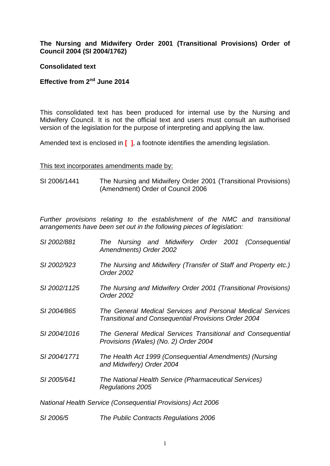# **The Nursing and Midwifery Order 2001 (Transitional Provisions) Order of Council 2004 (SI 2004/1762)**

## **Consolidated text**

# **Effective from 2nd June 2014**

This consolidated text has been produced for internal use by the Nursing and Midwifery Council. It is not the official text and users must consult an authorised version of the legislation for the purpose of interpreting and applying the law.

Amended text is enclosed in **[ ]**, a footnote identifies the amending legislation.

#### This text incorporates amendments made by:

SI 2006/1441 The Nursing and Midwifery Order 2001 (Transitional Provisions) (Amendment) Order of Council 2006

*Further provisions relating to the establishment of the NMC and transitional arrangements have been set out in the following pieces of legislation:*

- *SI 2002/881 The Nursing and Midwifery Order 2001 (Consequential Amendments) Order 2002*
- *SI 2002/923 The Nursing and Midwifery (Transfer of Staff and Property etc.) Order 2002*
- *SI 2002/1125 The Nursing and Midwifery Order 2001 (Transitional Provisions) Order 2002*
- *SI 2004/865 The General Medical Services and Personal Medical Services Transitional and Consequential Provisions Order 2004*
- *SI 2004/1016 The General Medical Services Transitional and Consequential Provisions (Wales) (No. 2) Order 2004*
- *SI 2004/1771 The Health Act 1999 (Consequential Amendments) (Nursing and Midwifery) Order 2004*
- *SI 2005/641 The National Health Service (Pharmaceutical Services) Regulations 2005*

*National Health Service (Consequential Provisions) Act 2006*

*SI 2006/5 The Public Contracts Regulations 2006*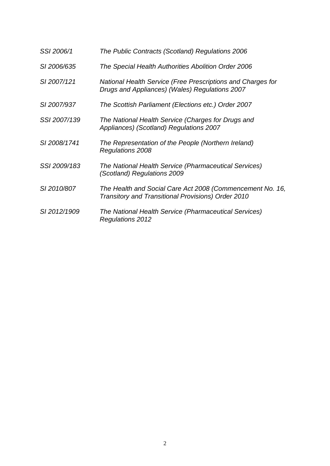| SSI 2006/1   | The Public Contracts (Scotland) Regulations 2006                                                                |
|--------------|-----------------------------------------------------------------------------------------------------------------|
| SI 2006/635  | The Special Health Authorities Abolition Order 2006                                                             |
| SI 2007/121  | National Health Service (Free Prescriptions and Charges for<br>Drugs and Appliances) (Wales) Regulations 2007   |
| SI 2007/937  | The Scottish Parliament (Elections etc.) Order 2007                                                             |
| SSI 2007/139 | The National Health Service (Charges for Drugs and<br>Appliances) (Scotland) Regulations 2007                   |
| SI 2008/1741 | The Representation of the People (Northern Ireland)<br>Regulations 2008                                         |
| SSI 2009/183 | The National Health Service (Pharmaceutical Services)<br>(Scotland) Regulations 2009                            |
| SI 2010/807  | The Health and Social Care Act 2008 (Commencement No. 16,<br>Transitory and Transitional Provisions) Order 2010 |
| SI 2012/1909 | The National Health Service (Pharmaceutical Services)<br><b>Regulations 2012</b>                                |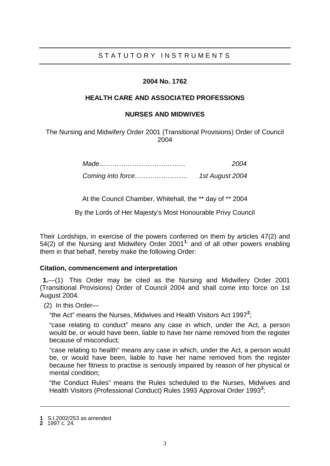# STATUTORY INSTRUMENTS

#### **2004 No. 1762**

#### **HEALTH CARE AND ASSOCIATED PROFESSIONS**

#### **NURSES AND MIDWIVES**

The Nursing and Midwifery Order 2001 (Transitional Provisions) Order of Council 2004

> *Made………………………………… 2004 Coming into force…………………… 1st August 2004*

> At the Council Chamber, Whitehall, the \*\* day of \*\* 2004

By the Lords of Her Majesty's Most Honourable Privy Council

Their Lordships, in exercise of the powers conferred on them by articles 47(2) and 54(2) of the Nursing and Midwifery Order 2001**[1](#page-2-0)**, and of all other powers enabling them in that behalf, hereby make the following Order:

#### **Citation, commencement and interpretation**

**1.**—(1) This Order may be cited as the Nursing and Midwifery Order 2001 (Transitional Provisions) Order of Council 2004 and shall come into force on 1st August 2004.

(2) In this Order—

"the Act" means the Nurses, Midwives and Health Visitors Act 1997**[2](#page-2-1)** ;

"case relating to conduct" means any case in which, under the Act, a person would be, or would have been, liable to have her name removed from the register because of misconduct;

"case relating to health" means any case in which, under the Act, a person would be, or would have been, liable to have her name removed from the register because her fitness to practise is seriously impaired by reason of her physical or mental condition;

"the Conduct Rules" means the Rules scheduled to the Nurses, Midwives and Health Visitors (Professional Conduct) Rules 1993 Approval Order 1993**[3](#page-2-2)** ;

<span id="page-2-2"></span><span id="page-2-0"></span>**1** S.I.2002/253 as amended

<span id="page-2-1"></span>**<sup>2</sup>** 1997 c. 24.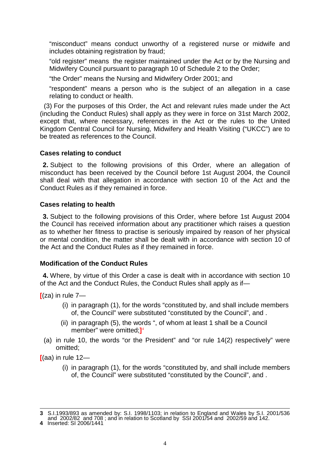"misconduct" means conduct unworthy of a registered nurse or midwife and includes obtaining registration by fraud;

"old register" means the register maintained under the Act or by the Nursing and Midwifery Council pursuant to paragraph 10 of Schedule 2 to the Order;

"the Order" means the Nursing and Midwifery Order 2001; and

"respondent" means a person who is the subject of an allegation in a case relating to conduct or health.

(3) For the purposes of this Order, the Act and relevant rules made under the Act (including the Conduct Rules) shall apply as they were in force on 31st March 2002, except that, where necessary, references in the Act or the rules to the United Kingdom Central Council for Nursing, Midwifery and Health Visiting ("UKCC") are to be treated as references to the Council.

# **Cases relating to conduct**

**2.** Subject to the following provisions of this Order, where an allegation of misconduct has been received by the Council before 1st August 2004, the Council shall deal with that allegation in accordance with section 10 of the Act and the Conduct Rules as if they remained in force.

# **Cases relating to health**

**3.** Subject to the following provisions of this Order, where before 1st August 2004 the Council has received information about any practitioner which raises a question as to whether her fitness to practise is seriously impaired by reason of her physical or mental condition, the matter shall be dealt with in accordance with section 10 of the Act and the Conduct Rules as if they remained in force.

## **Modification of the Conduct Rules**

**4.** Where, by virtue of this Order a case is dealt with in accordance with section 10 of the Act and the Conduct Rules, the Conduct Rules shall apply as if—

 $[(za)$  in rule  $7-$ 

- (i) in paragraph (1), for the words "constituted by, and shall include members of, the Council" were substituted "constituted by the Council", and .
- (ii) in paragraph (5), the words ", of whom at least 1 shall be a Council member" were omitted;**]** [4](#page-3-0)
- (a) in rule 10, the words "or the President" and "or rule 14(2) respectively" were omitted;

**[**(aa) in rule 12—

(i) in paragraph (1), for the words "constituted by, and shall include members of, the Council" were substituted "constituted by the Council", and .

<span id="page-3-0"></span>

<sup>-</sup>**3** S.I.1993/893 as amended by: S.I. 1998/1103; in relation to England and Wales by S.I. 2001/536 and 2002/82 and 708 ; and in relation to Scotland by SSI 2001/54 and 2002/59 and 142.<br>**4** Inserted: SI 2006/1441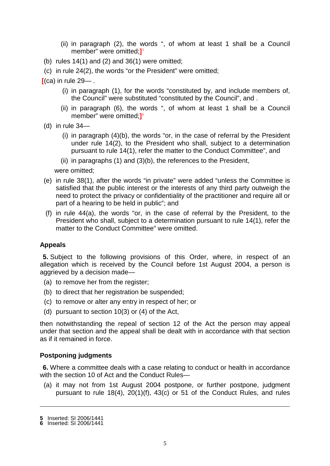- (ii) in paragraph (2), the words ", of whom at least 1 shall be a Council member" were omitted;**]** [5](#page-4-0)
- (b) rules  $14(1)$  and  $(2)$  and  $36(1)$  were omitted;
- (c) in rule 24(2), the words "or the President" were omitted;

**[**(ca) in rule 29— .

- (i) in paragraph (1), for the words "constituted by, and include members of, the Council" were substituted "constituted by the Council", and .
- (ii) in paragraph (6), the words ", of whom at least 1 shall be a Council member" were omitted;**]** [6](#page-4-1)
- (d) in rule  $34-$ 
	- (i) in paragraph (4)(b), the words "or, in the case of referral by the President under rule 14(2), to the President who shall, subject to a determination pursuant to rule 14(1), refer the matter to the Conduct Committee", and
	- (ii) in paragraphs (1) and (3)(b), the references to the President,

were omitted;

- (e) in rule 38(1), after the words "in private" were added "unless the Committee is satisfied that the public interest or the interests of any third party outweigh the need to protect the privacy or confidentiality of the practitioner and require all or part of a hearing to be held in public"; and
- (f) in rule 44(a), the words "or, in the case of referral by the President, to the President who shall, subject to a determination pursuant to rule 14(1), refer the matter to the Conduct Committee" were omitted.

## **Appeals**

**5.** Subject to the following provisions of this Order, where, in respect of an allegation which is received by the Council before 1st August 2004, a person is aggrieved by a decision made—

- (a) to remove her from the register;
- (b) to direct that her registration be suspended;
- (c) to remove or alter any entry in respect of her; or
- (d) pursuant to section 10(3) or (4) of the Act,

then notwithstanding the repeal of section 12 of the Act the person may appeal under that section and the appeal shall be dealt with in accordance with that section as if it remained in force.

## **Postponing judgments**

**6.** Where a committee deals with a case relating to conduct or health in accordance with the section 10 of Act and the Conduct Rules—

(a) it may not from 1st August 2004 postpone, or further postpone, judgment pursuant to rule 18(4), 20(1)(f), 43(c) or 51 of the Conduct Rules, and rules

<span id="page-4-0"></span>**<sup>5</sup>** Inserted: SI 2006/1441

<span id="page-4-1"></span>**<sup>6</sup>** Inserted: SI 2006/1441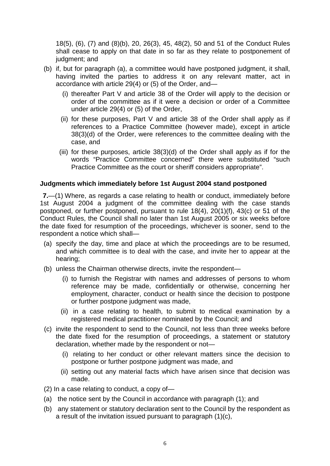18(5), (6), (7) and (8)(b), 20, 26(3), 45, 48(2), 50 and 51 of the Conduct Rules shall cease to apply on that date in so far as they relate to postponement of judgment; and

- (b) if, but for paragraph (a), a committee would have postponed judgment, it shall, having invited the parties to address it on any relevant matter, act in accordance with article 29(4) or (5) of the Order, and—
	- (i) thereafter Part V and article 38 of the Order will apply to the decision or order of the committee as if it were a decision or order of a Committee under article 29(4) or (5) of the Order,
	- (ii) for these purposes, Part V and article 38 of the Order shall apply as if references to a Practice Committee (however made), except in article 38(3)(d) of the Order, were references to the committee dealing with the case, and
	- (iii) for these purposes, article 38(3)(d) of the Order shall apply as if for the words "Practice Committee concerned" there were substituted "such Practice Committee as the court or sheriff considers appropriate".

## **Judgments which immediately before 1st August 2004 stand postponed**

**7.**—(1) Where, as regards a case relating to health or conduct, immediately before 1st August 2004 a judgment of the committee dealing with the case stands postponed, or further postponed, pursuant to rule 18(4), 20(1)(f), 43(c) or 51 of the Conduct Rules, the Council shall no later than 1st August 2005 or six weeks before the date fixed for resumption of the proceedings, whichever is sooner, send to the respondent a notice which shall—

- (a) specify the day, time and place at which the proceedings are to be resumed, and which committee is to deal with the case, and invite her to appear at the hearing;
- (b) unless the Chairman otherwise directs, invite the respondent—
	- (i) to furnish the Registrar with names and addresses of persons to whom reference may be made, confidentially or otherwise, concerning her employment, character, conduct or health since the decision to postpone or further postpone judgment was made,
	- (ii) in a case relating to health, to submit to medical examination by a registered medical practitioner nominated by the Council; and
- (c) invite the respondent to send to the Council, not less than three weeks before the date fixed for the resumption of proceedings, a statement or statutory declaration, whether made by the respondent or not—
	- (i) relating to her conduct or other relevant matters since the decision to postpone or further postpone judgment was made, and
	- (ii) setting out any material facts which have arisen since that decision was made.
- (2) In a case relating to conduct, a copy of—
- (a) the notice sent by the Council in accordance with paragraph (1); and
- (b) any statement or statutory declaration sent to the Council by the respondent as a result of the invitation issued pursuant to paragraph (1)(c),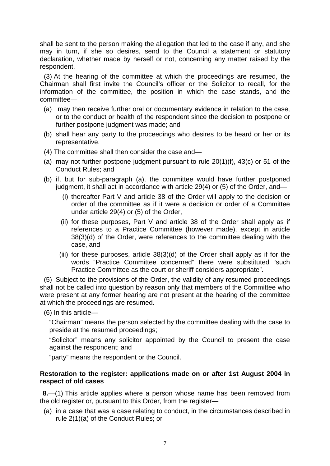shall be sent to the person making the allegation that led to the case if any, and she may in turn, if she so desires, send to the Council a statement or statutory declaration, whether made by herself or not, concerning any matter raised by the respondent.

(3) At the hearing of the committee at which the proceedings are resumed, the Chairman shall first invite the Council's officer or the Solicitor to recall, for the information of the committee, the position in which the case stands, and the committee—

- (a) may then receive further oral or documentary evidence in relation to the case, or to the conduct or health of the respondent since the decision to postpone or further postpone judgment was made; and
- (b) shall hear any party to the proceedings who desires to be heard or her or its representative.
- (4) The committee shall then consider the case and—
- (a) may not further postpone judgment pursuant to rule 20(1)(f), 43(c) or 51 of the Conduct Rules; and
- (b) if, but for sub-paragraph (a), the committee would have further postponed judgment, it shall act in accordance with article 29(4) or (5) of the Order, and—
	- (i) thereafter Part V and article 38 of the Order will apply to the decision or order of the committee as if it were a decision or order of a Committee under article 29(4) or (5) of the Order,
	- (ii) for these purposes, Part V and article 38 of the Order shall apply as if references to a Practice Committee (however made), except in article 38(3)(d) of the Order, were references to the committee dealing with the case, and
	- (iii) for these purposes, article 38(3)(d) of the Order shall apply as if for the words "Practice Committee concerned" there were substituted "such Practice Committee as the court or sheriff considers appropriate".

(5) Subject to the provisions of the Order, the validity of any resumed proceedings shall not be called into question by reason only that members of the Committee who were present at any former hearing are not present at the hearing of the committee at which the proceedings are resumed.

(6) In this article—

"Chairman" means the person selected by the committee dealing with the case to preside at the resumed proceedings;

"Solicitor" means any solicitor appointed by the Council to present the case against the respondent; and

"party" means the respondent or the Council.

## **Restoration to the register: applications made on or after 1st August 2004 in respect of old cases**

**8.**—(1) This article applies where a person whose name has been removed from the old register or, pursuant to this Order, from the register—

(a) in a case that was a case relating to conduct, in the circumstances described in rule 2(1)(a) of the Conduct Rules; or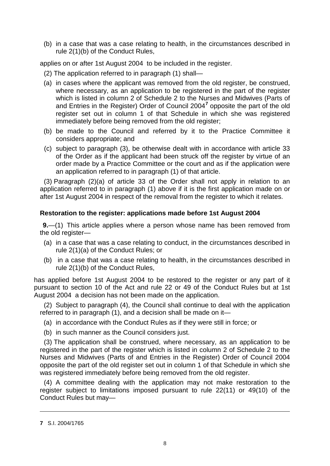(b) in a case that was a case relating to health, in the circumstances described in rule 2(1)(b) of the Conduct Rules,

applies on or after 1st August 2004 to be included in the register.

- (2) The application referred to in paragraph (1) shall—
- (a) in cases where the applicant was removed from the old register, be construed, where necessary, as an application to be registered in the part of the register which is listed in column 2 of Schedule 2 to the Nurses and Midwives (Parts of and Entries in the Register) Order of Council 2004**[7](#page-7-0)** opposite the part of the old register set out in column 1 of that Schedule in which she was registered immediately before being removed from the old register;
- (b) be made to the Council and referred by it to the Practice Committee it considers appropriate; and
- (c) subject to paragraph (3), be otherwise dealt with in accordance with article 33 of the Order as if the applicant had been struck off the register by virtue of an order made by a Practice Committee or the court and as if the application were an application referred to in paragraph (1) of that article.

(3) Paragraph (2)(a) of article 33 of the Order shall not apply in relation to an application referred to in paragraph (1) above if it is the first application made on or after 1st August 2004 in respect of the removal from the register to which it relates.

## **Restoration to the register: applications made before 1st August 2004**

**9.**—(1) This article applies where a person whose name has been removed from the old register—

- (a) in a case that was a case relating to conduct, in the circumstances described in rule 2(1)(a) of the Conduct Rules; or
- (b) in a case that was a case relating to health, in the circumstances described in rule 2(1)(b) of the Conduct Rules,

has applied before 1st August 2004 to be restored to the register or any part of it pursuant to section 10 of the Act and rule 22 or 49 of the Conduct Rules but at 1st August 2004 a decision has not been made on the application.

(2) Subject to paragraph (4), the Council shall continue to deal with the application referred to in paragraph (1), and a decision shall be made on it—

- (a) in accordance with the Conduct Rules as if they were still in force; or
- (b) in such manner as the Council considers just.

(3) The application shall be construed, where necessary, as an application to be registered in the part of the register which is listed in column 2 of Schedule 2 to the Nurses and Midwives (Parts of and Entries in the Register) Order of Council 2004 opposite the part of the old register set out in column 1 of that Schedule in which she was registered immediately before being removed from the old register.

(4) A committee dealing with the application may not make restoration to the register subject to limitations imposed pursuant to rule 22(11) or 49(10) of the Conduct Rules but may—

<span id="page-7-0"></span>**<sup>7</sup>** S.I. 2004/1765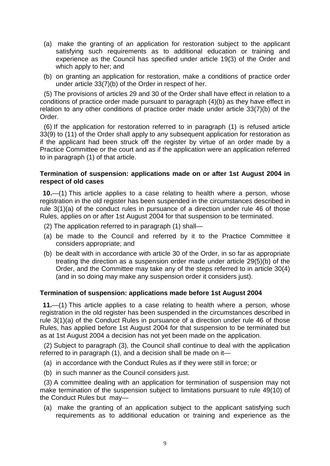- (a) make the granting of an application for restoration subject to the applicant satisfying such requirements as to additional education or training and experience as the Council has specified under article 19(3) of the Order and which apply to her; and
- (b) on granting an application for restoration, make a conditions of practice order under article 33(7)(b) of the Order in respect of her.

(5) The provisions of articles 29 and 30 of the Order shall have effect in relation to a conditions of practice order made pursuant to paragraph (4)(b) as they have effect in relation to any other conditions of practice order made under article 33(7)(b) of the Order.

(6) If the application for restoration referred to in paragraph (1) is refused article 33(9) to (11) of the Order shall apply to any subsequent application for restoration as if the applicant had been struck off the register by virtue of an order made by a Practice Committee or the court and as if the application were an application referred to in paragraph (1) of that article.

#### **Termination of suspension: applications made on or after 1st August 2004 in respect of old cases**

**10.**—(1) This article applies to a case relating to health where a person, whose registration in the old register has been suspended in the circumstances described in rule 3(1)(a) of the conduct rules in pursuance of a direction under rule 46 of those Rules, applies on or after 1st August 2004 for that suspension to be terminated.

- (2) The application referred to in paragraph (1) shall—
- (a) be made to the Council and referred by it to the Practice Committee it considers appropriate; and
- (b) be dealt with in accordance with article 30 of the Order, in so far as appropriate treating the direction as a suspension order made under article 29(5)(b) of the Order, and the Committee may take any of the steps referred to in article 30(4) (and in so doing may make any suspension order it considers just).

## **Termination of suspension: applications made before 1st August 2004**

**11.**—(1) This article applies to a case relating to health where a person, whose registration in the old register has been suspended in the circumstances described in rule 3(1)(a) of the Conduct Rules in pursuance of a direction under rule 46 of those Rules, has applied before 1st August 2004 for that suspension to be terminated but as at 1st August 2004 a decision has not yet been made on the application.

(2) Subject to paragraph (3), the Council shall continue to deal with the application referred to in paragraph (1), and a decision shall be made on it—

- (a) in accordance with the Conduct Rules as if they were still in force; or
- (b) in such manner as the Council considers just.

(3) A committee dealing with an application for termination of suspension may not make termination of the suspension subject to limitations pursuant to rule 49(10) of the Conduct Rules but may—

(a) make the granting of an application subject to the applicant satisfying such requirements as to additional education or training and experience as the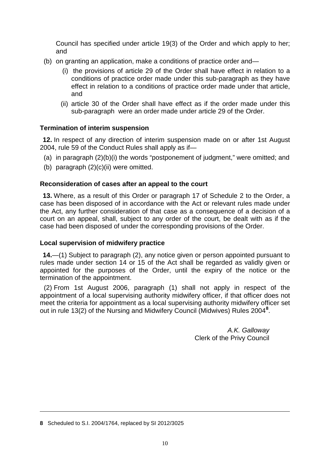Council has specified under article 19(3) of the Order and which apply to her; and

- (b) on granting an application, make a conditions of practice order and—
	- (i) the provisions of article 29 of the Order shall have effect in relation to a conditions of practice order made under this sub-paragraph as they have effect in relation to a conditions of practice order made under that article, and
	- (ii) article 30 of the Order shall have effect as if the order made under this sub-paragraph were an order made under article 29 of the Order.

# **Termination of interim suspension**

**12.** In respect of any direction of interim suspension made on or after 1st August 2004, rule 59 of the Conduct Rules shall apply as if—

- (a) in paragraph (2)(b)(i) the words "postponement of judgment," were omitted; and
- (b) paragraph  $(2)(c)(ii)$  were omitted.

## **Reconsideration of cases after an appeal to the court**

**13.** Where, as a result of this Order or paragraph 17 of Schedule 2 to the Order, a case has been disposed of in accordance with the Act or relevant rules made under the Act, any further consideration of that case as a consequence of a decision of a court on an appeal, shall, subject to any order of the court, be dealt with as if the case had been disposed of under the corresponding provisions of the Order.

## **Local supervision of midwifery practice**

**14.**—(1) Subject to paragraph (2), any notice given or person appointed pursuant to rules made under section 14 or 15 of the Act shall be regarded as validly given or appointed for the purposes of the Order, until the expiry of the notice or the termination of the appointment.

(2) From 1st August 2006, paragraph (1) shall not apply in respect of the appointment of a local supervising authority midwifery officer, if that officer does not meet the criteria for appointment as a local supervising authority midwifery officer set out in rule 13(2) of the Nursing and Midwifery Council (Midwives) Rules 2004**[8](#page-9-0)** .

> *A.K. Galloway* Clerk of the Privy Council

<span id="page-9-0"></span>**<sup>8</sup>** Scheduled to S.I. 2004/1764, replaced by SI 2012/3025